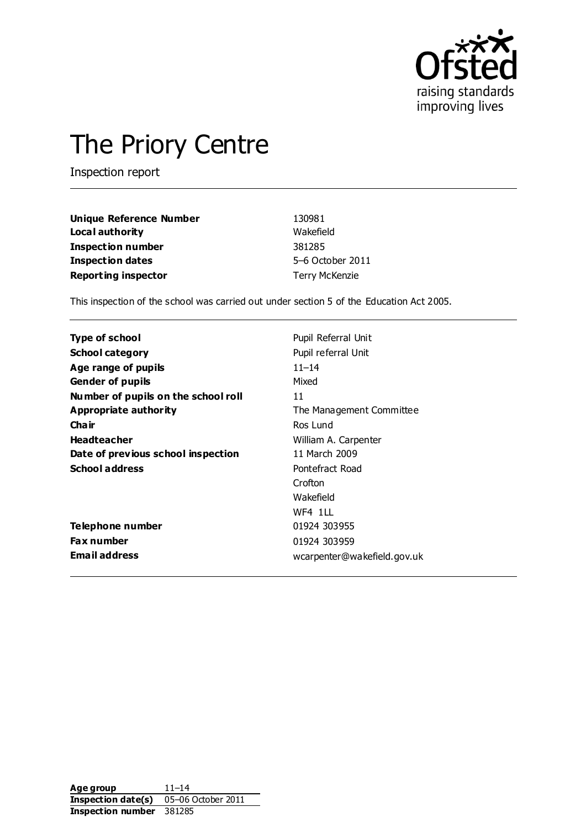

# The Priory Centre

Inspection report

| <b>Unique Reference Number</b> | 130981                |
|--------------------------------|-----------------------|
| Local authority                | Wakefield             |
| <b>Inspection number</b>       | 381285                |
| <b>Inspection dates</b>        | 5-6 October 2011      |
| <b>Reporting inspector</b>     | <b>Terry McKenzie</b> |

This inspection of the school was carried out under section 5 of the Education Act 2005.

| Type of school                      | Pupil Referral Unit         |
|-------------------------------------|-----------------------------|
| <b>School category</b>              | Pupil referral Unit         |
| Age range of pupils                 | $11 - 14$                   |
| <b>Gender of pupils</b>             | Mixed                       |
| Number of pupils on the school roll | 11                          |
| Appropriate authority               | The Management Committee    |
| Cha ir                              | Ros Lund                    |
| <b>Headteacher</b>                  | William A. Carpenter        |
| Date of previous school inspection  | 11 March 2009               |
| <b>School address</b>               | Pontefract Road             |
|                                     | Crofton                     |
|                                     | Wakefield                   |
|                                     | WF4 111                     |
| Telephone number                    | 01924 303955                |
| Fax number                          | 01924 303959                |
| <b>Email address</b>                | wcarpenter@wakefield.gov.uk |

Age group 11–14 **Inspection date(s)** 05–06 October 2011 **Inspection number** 381285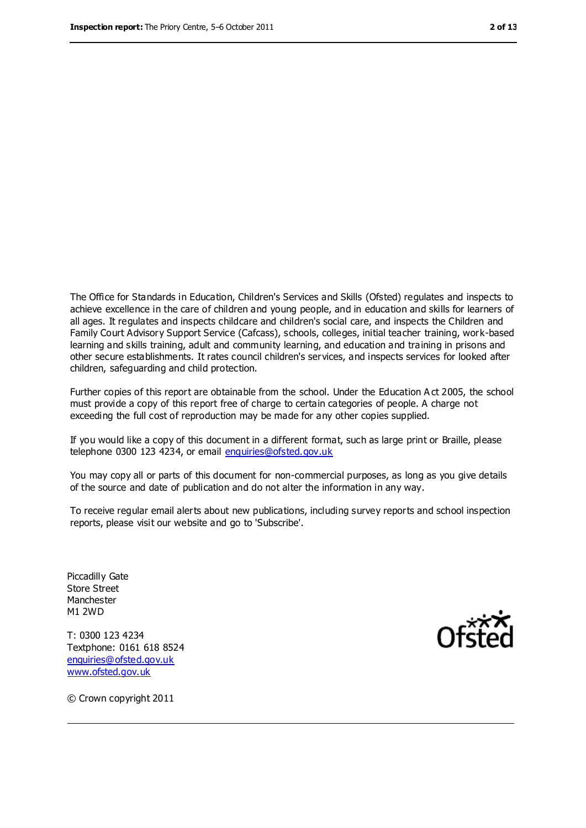The Office for Standards in Education, Children's Services and Skills (Ofsted) regulates and inspects to achieve excellence in the care of children and young people, and in education and skills for learners of all ages. It regulates and inspects childcare and children's social care, and inspects the Children and Family Court Advisory Support Service (Cafcass), schools, colleges, initial teacher training, work-based learning and skills training, adult and community learning, and education and training in prisons and other secure establishments. It rates council children's services, and inspects services for looked after children, safeguarding and child protection.

Further copies of this report are obtainable from the school. Under the Education A ct 2005, the school must provide a copy of this report free of charge to certain categories of people. A charge not exceeding the full cost of reproduction may be made for any other copies supplied.

If you would like a copy of this document in a different format, such as large print or Braille, please telephone 0300 123 4234, or email [enquiries@ofsted.gov.uk](mailto:enquiries@ofsted.gov.uk)

You may copy all or parts of this document for non-commercial purposes, as long as you give details of the source and date of publication and do not alter the information in any way.

To receive regular email alerts about new publications, including survey reports and school inspection reports, please visit our website and go to 'Subscribe'.

Piccadilly Gate Store Street Manchester M1 2WD

T: 0300 123 4234 Textphone: 0161 618 8524 [enquiries@ofsted.gov.uk](mailto:enquiries@ofsted.gov.uk) [www.ofsted.gov.uk](http://www.ofsted.gov.uk/)



© Crown copyright 2011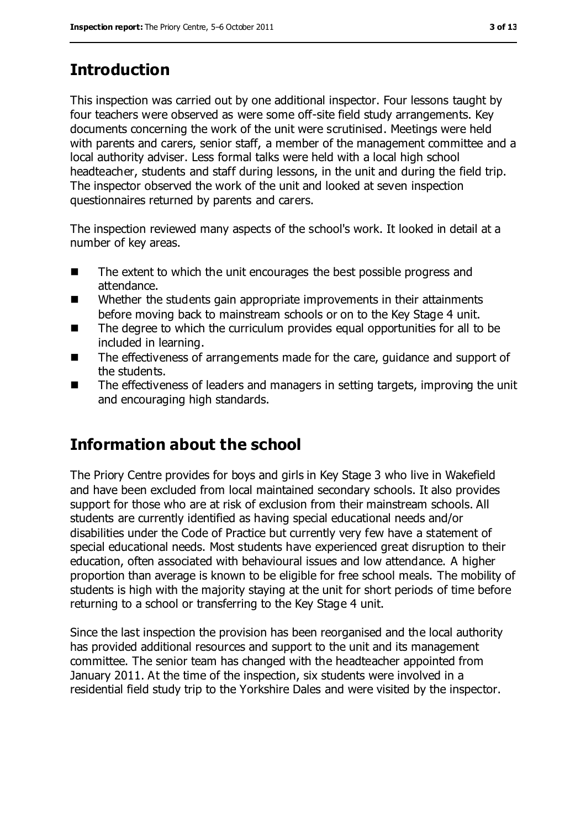## **Introduction**

This inspection was carried out by one additional inspector. Four lessons taught by four teachers were observed as were some off-site field study arrangements. Key documents concerning the work of the unit were scrutinised. Meetings were held with parents and carers, senior staff, a member of the management committee and a local authority adviser. Less formal talks were held with a local high school headteacher, students and staff during lessons, in the unit and during the field trip. The inspector observed the work of the unit and looked at seven inspection questionnaires returned by parents and carers.

The inspection reviewed many aspects of the school's work. It looked in detail at a number of key areas.

- The extent to which the unit encourages the best possible progress and attendance.
- Whether the students gain appropriate improvements in their attainments before moving back to mainstream schools or on to the Key Stage 4 unit.
- The degree to which the curriculum provides equal opportunities for all to be included in learning.
- The effectiveness of arrangements made for the care, guidance and support of the students.
- The effectiveness of leaders and managers in setting targets, improving the unit and encouraging high standards.

## **Information about the school**

The Priory Centre provides for boys and girls in Key Stage 3 who live in Wakefield and have been excluded from local maintained secondary schools. It also provides support for those who are at risk of exclusion from their mainstream schools. All students are currently identified as having special educational needs and/or disabilities under the Code of Practice but currently very few have a statement of special educational needs. Most students have experienced great disruption to their education, often associated with behavioural issues and low attendance. A higher proportion than average is known to be eligible for free school meals. The mobility of students is high with the majority staying at the unit for short periods of time before returning to a school or transferring to the Key Stage 4 unit.

Since the last inspection the provision has been reorganised and the local authority has provided additional resources and support to the unit and its management committee. The senior team has changed with the headteacher appointed from January 2011. At the time of the inspection, six students were involved in a residential field study trip to the Yorkshire Dales and were visited by the inspector.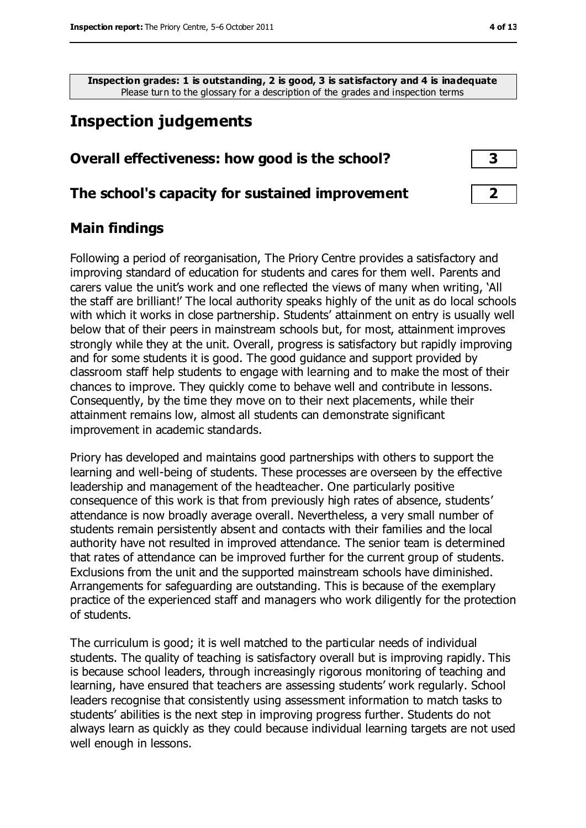**Inspection grades: 1 is outstanding, 2 is good, 3 is satisfactory and 4 is inadequate** Please turn to the glossary for a description of the grades and inspection terms

#### **Inspection judgements**

# **Overall effectiveness: how good is the school? 3**

#### **The school's capacity for sustained improvement 2**

#### **Main findings**

Following a period of reorganisation, The Priory Centre provides a satisfactory and improving standard of education for students and cares for them well. Parents and carers value the unit's work and one reflected the views of many when writing, 'All the staff are brilliant!' The local authority speaks highly of the unit as do local schools with which it works in close partnership. Students' attainment on entry is usually well below that of their peers in mainstream schools but, for most, attainment improves strongly while they at the unit. Overall, progress is satisfactory but rapidly improving and for some students it is good. The good guidance and support provided by classroom staff help students to engage with learning and to make the most of their chances to improve. They quickly come to behave well and contribute in lessons. Consequently, by the time they move on to their next placements, while their attainment remains low, almost all students can demonstrate significant improvement in academic standards.

Priory has developed and maintains good partnerships with others to support the learning and well-being of students. These processes are overseen by the effective leadership and management of the headteacher. One particularly positive consequence of this work is that from previously high rates of absence, students' attendance is now broadly average overall. Nevertheless, a very small number of students remain persistently absent and contacts with their families and the local authority have not resulted in improved attendance. The senior team is determined that rates of attendance can be improved further for the current group of students. Exclusions from the unit and the supported mainstream schools have diminished. Arrangements for safeguarding are outstanding. This is because of the exemplary practice of the experienced staff and managers who work diligently for the protection of students.

The curriculum is good; it is well matched to the particular needs of individual students. The quality of teaching is satisfactory overall but is improving rapidly. This is because school leaders, through increasingly rigorous monitoring of teaching and learning, have ensured that teachers are assessing students' work regularly. School leaders recognise that consistently using assessment information to match tasks to students' abilities is the next step in improving progress further. Students do not always learn as quickly as they could because individual learning targets are not used well enough in lessons.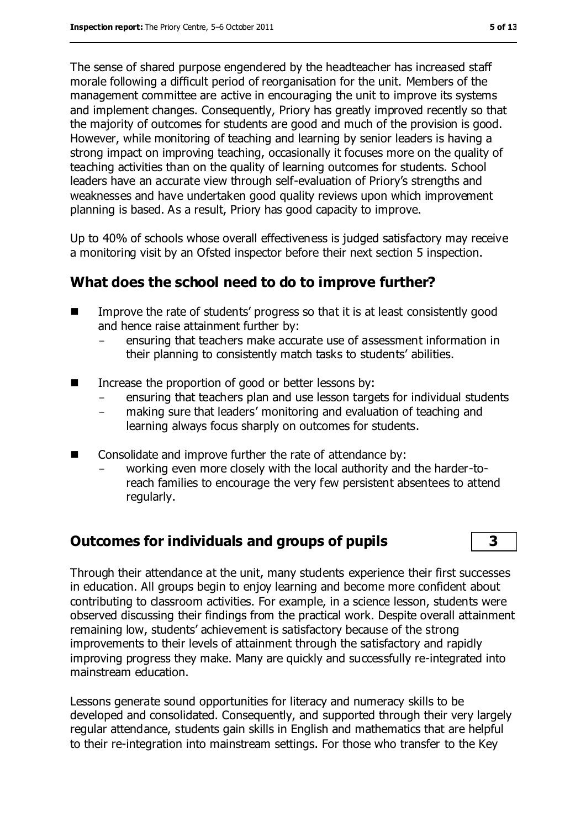The sense of shared purpose engendered by the headteacher has increased staff morale following a difficult period of reorganisation for the unit. Members of the management committee are active in encouraging the unit to improve its systems and implement changes. Consequently, Priory has greatly improved recently so that the majority of outcomes for students are good and much of the provision is good. However, while monitoring of teaching and learning by senior leaders is having a strong impact on improving teaching, occasionally it focuses more on the quality of teaching activities than on the quality of learning outcomes for students. School leaders have an accurate view through self-evaluation of Priory's strengths and weaknesses and have undertaken good quality reviews upon which improvement planning is based. As a result, Priory has good capacity to improve.

Up to 40% of schools whose overall effectiveness is judged satisfactory may receive a monitoring visit by an Ofsted inspector before their next section 5 inspection.

#### **What does the school need to do to improve further?**

- Improve the rate of students' progress so that it is at least consistently good and hence raise attainment further by:
	- ensuring that teachers make accurate use of assessment information in their planning to consistently match tasks to students' abilities.
- Increase the proportion of good or better lessons by:
	- ensuring that teachers plan and use lesson targets for individual students
	- making sure that leaders' monitoring and evaluation of teaching and learning always focus sharply on outcomes for students.
- Consolidate and improve further the rate of attendance by:
	- working even more closely with the local authority and the harder-toreach families to encourage the very few persistent absentees to attend regularly.

### **Outcomes for individuals and groups of pupils 3**

Through their attendance at the unit, many students experience their first successes in education. All groups begin to enjoy learning and become more confident about contributing to classroom activities. For example, in a science lesson, students were observed discussing their findings from the practical work. Despite overall attainment remaining low, students' achievement is satisfactory because of the strong improvements to their levels of attainment through the satisfactory and rapidly improving progress they make. Many are quickly and successfully re-integrated into mainstream education.

Lessons generate sound opportunities for literacy and numeracy skills to be developed and consolidated. Consequently, and supported through their very largely regular attendance, students gain skills in English and mathematics that are helpful to their re-integration into mainstream settings. For those who transfer to the Key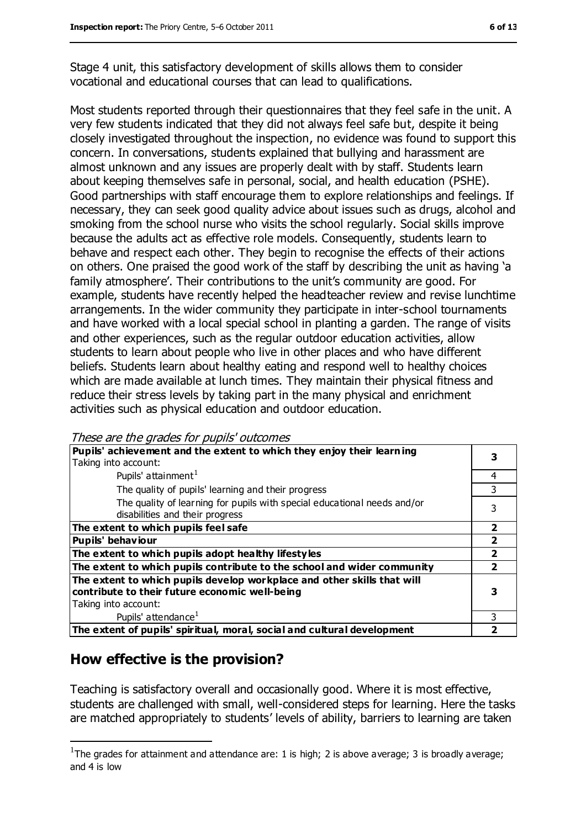Stage 4 unit, this satisfactory development of skills allows them to consider vocational and educational courses that can lead to qualifications.

Most students reported through their questionnaires that they feel safe in the unit. A very few students indicated that they did not always feel safe but, despite it being closely investigated throughout the inspection, no evidence was found to support this concern. In conversations, students explained that bullying and harassment are almost unknown and any issues are properly dealt with by staff. Students learn about keeping themselves safe in personal, social, and health education (PSHE). Good partnerships with staff encourage them to explore relationships and feelings. If necessary, they can seek good quality advice about issues such as drugs, alcohol and smoking from the school nurse who visits the school regularly. Social skills improve because the adults act as effective role models. Consequently, students learn to behave and respect each other. They begin to recognise the effects of their actions on others. One praised the good work of the staff by describing the unit as having 'a family atmosphere'. Their contributions to the unit's community are good. For example, students have recently helped the headteacher review and revise lunchtime arrangements. In the wider community they participate in inter-school tournaments and have worked with a local special school in planting a garden. The range of visits and other experiences, such as the regular outdoor education activities, allow students to learn about people who live in other places and who have different beliefs. Students learn about healthy eating and respond well to healthy choices which are made available at lunch times. They maintain their physical fitness and reduce their stress levels by taking part in the many physical and enrichment activities such as physical education and outdoor education.

| Pupils' achievement and the extent to which they enjoy their learning    |   |
|--------------------------------------------------------------------------|---|
| Taking into account:                                                     |   |
| Pupils' attainment <sup>1</sup>                                          | 4 |
| The quality of pupils' learning and their progress                       | 3 |
| The quality of learning for pupils with special educational needs and/or |   |
| disabilities and their progress                                          |   |
| The extent to which pupils feel safe                                     | 2 |
| <b>Pupils' behaviour</b>                                                 |   |
| The extent to which pupils adopt healthy lifestyles                      | 2 |
| The extent to which pupils contribute to the school and wider community  |   |
| The extent to which pupils develop workplace and other skills that will  |   |
| contribute to their future economic well-being                           |   |
| Taking into account:                                                     |   |
| Pupils' attendance <sup>1</sup>                                          | 3 |
| The extent of pupils' spiritual, moral, social and cultural development  |   |

These are the grades for pupils' outcomes

#### **How effective is the provision?**

 $\overline{a}$ 

Teaching is satisfactory overall and occasionally good. Where it is most effective, students are challenged with small, well-considered steps for learning. Here the tasks are matched appropriately to students' levels of ability, barriers to learning are taken

<sup>&</sup>lt;sup>1</sup>The grades for attainment and attendance are: 1 is high; 2 is above average; 3 is broadly average; and 4 is low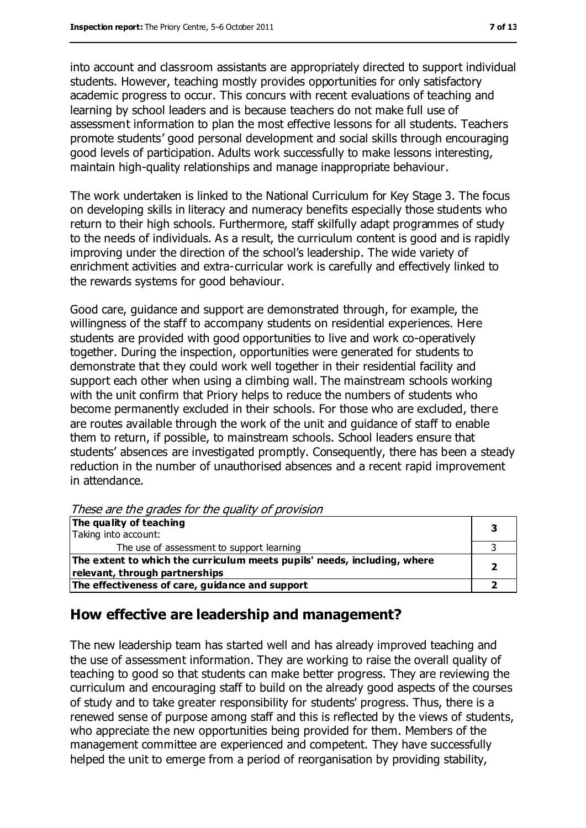into account and classroom assistants are appropriately directed to support individual students. However, teaching mostly provides opportunities for only satisfactory academic progress to occur. This concurs with recent evaluations of teaching and learning by school leaders and is because teachers do not make full use of assessment information to plan the most effective lessons for all students. Teachers promote students' good personal development and social skills through encouraging good levels of participation. Adults work successfully to make lessons interesting, maintain high-quality relationships and manage inappropriate behaviour.

The work undertaken is linked to the National Curriculum for Key Stage 3. The focus on developing skills in literacy and numeracy benefits especially those students who return to their high schools. Furthermore, staff skilfully adapt programmes of study to the needs of individuals. As a result, the curriculum content is good and is rapidly improving under the direction of the school's leadership. The wide variety of enrichment activities and extra-curricular work is carefully and effectively linked to the rewards systems for good behaviour.

Good care, guidance and support are demonstrated through, for example, the willingness of the staff to accompany students on residential experiences. Here students are provided with good opportunities to live and work co-operatively together. During the inspection, opportunities were generated for students to demonstrate that they could work well together in their residential facility and support each other when using a climbing wall. The mainstream schools working with the unit confirm that Priory helps to reduce the numbers of students who become permanently excluded in their schools. For those who are excluded, there are routes available through the work of the unit and guidance of staff to enable them to return, if possible, to mainstream schools. School leaders ensure that students' absences are investigated promptly. Consequently, there has been a steady reduction in the number of unauthorised absences and a recent rapid improvement in attendance.

These are the grades for the quality of provision

| The quality of teaching                                                  |  |
|--------------------------------------------------------------------------|--|
| Taking into account:                                                     |  |
| The use of assessment to support learning                                |  |
| The extent to which the curriculum meets pupils' needs, including, where |  |
| relevant, through partnerships                                           |  |
| The effectiveness of care, guidance and support                          |  |

#### **How effective are leadership and management?**

The new leadership team has started well and has already improved teaching and the use of assessment information. They are working to raise the overall quality of teaching to good so that students can make better progress. They are reviewing the curriculum and encouraging staff to build on the already good aspects of the courses of study and to take greater responsibility for students' progress. Thus, there is a renewed sense of purpose among staff and this is reflected by the views of students, who appreciate the new opportunities being provided for them. Members of the management committee are experienced and competent. They have successfully helped the unit to emerge from a period of reorganisation by providing stability,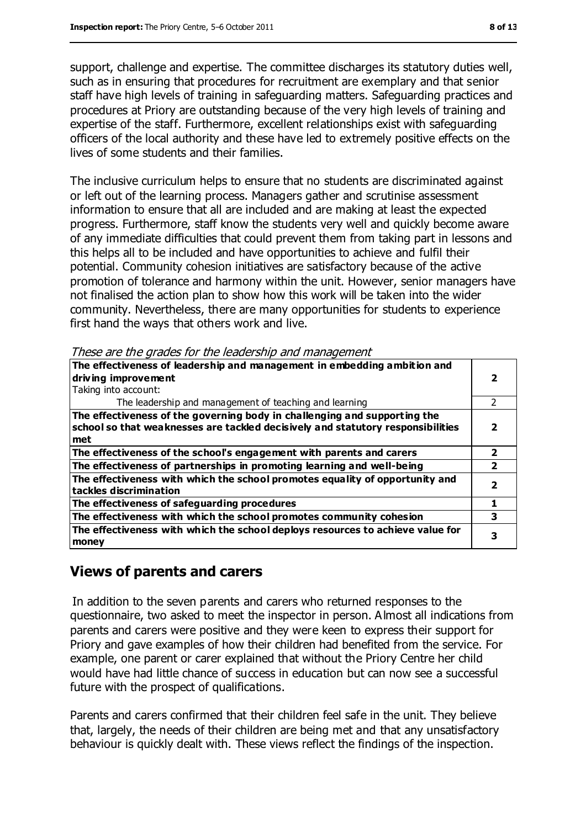support, challenge and expertise. The committee discharges its statutory duties well, such as in ensuring that procedures for recruitment are exemplary and that senior staff have high levels of training in safeguarding matters. Safeguarding practices and procedures at Priory are outstanding because of the very high levels of training and expertise of the staff. Furthermore, excellent relationships exist with safeguarding officers of the local authority and these have led to extremely positive effects on the lives of some students and their families.

The inclusive curriculum helps to ensure that no students are discriminated against or left out of the learning process. Managers gather and scrutinise assessment information to ensure that all are included and are making at least the expected progress. Furthermore, staff know the students very well and quickly become aware of any immediate difficulties that could prevent them from taking part in lessons and this helps all to be included and have opportunities to achieve and fulfil their potential. Community cohesion initiatives are satisfactory because of the active promotion of tolerance and harmony within the unit. However, senior managers have not finalised the action plan to show how this work will be taken into the wider community. Nevertheless, there are many opportunities for students to experience first hand the ways that others work and live.

These are the grades for the leadership and management

| The effectiveness of leadership and management in embedding ambition and                                                                                     |  |
|--------------------------------------------------------------------------------------------------------------------------------------------------------------|--|
| driving improvement                                                                                                                                          |  |
| Taking into account:                                                                                                                                         |  |
| The leadership and management of teaching and learning                                                                                                       |  |
| The effectiveness of the governing body in challenging and supporting the<br>school so that weaknesses are tackled decisively and statutory responsibilities |  |
| met                                                                                                                                                          |  |
| The effectiveness of the school's engagement with parents and carers                                                                                         |  |
| The effectiveness of partnerships in promoting learning and well-being                                                                                       |  |
| The effectiveness with which the school promotes equality of opportunity and<br>tackles discrimination                                                       |  |
| The effectiveness of safeguarding procedures                                                                                                                 |  |
| The effectiveness with which the school promotes community cohesion                                                                                          |  |
| The effectiveness with which the school deploys resources to achieve value for<br>money                                                                      |  |

#### **Views of parents and carers**

In addition to the seven parents and carers who returned responses to the questionnaire, two asked to meet the inspector in person. Almost all indications from parents and carers were positive and they were keen to express their support for Priory and gave examples of how their children had benefited from the service. For example, one parent or carer explained that without the Priory Centre her child would have had little chance of success in education but can now see a successful future with the prospect of qualifications.

Parents and carers confirmed that their children feel safe in the unit. They believe that, largely, the needs of their children are being met and that any unsatisfactory behaviour is quickly dealt with. These views reflect the findings of the inspection.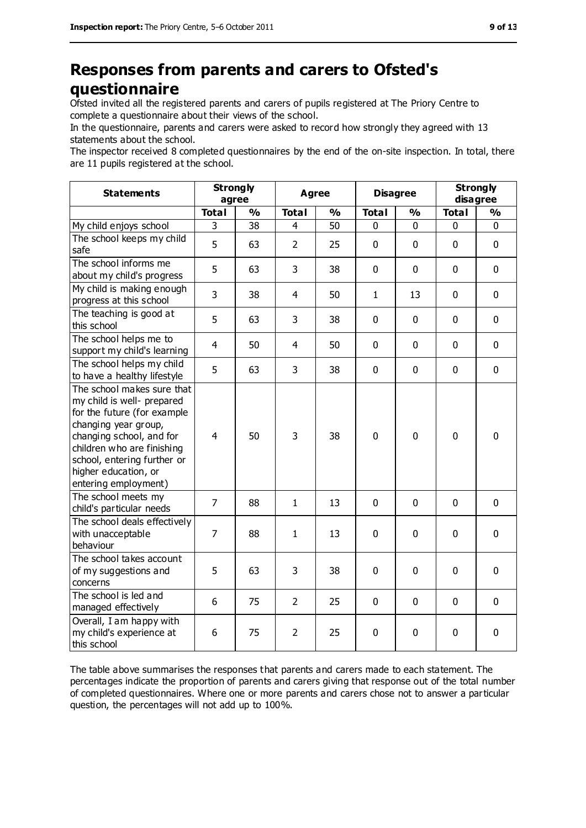### **Responses from parents and carers to Ofsted's questionnaire**

Ofsted invited all the registered parents and carers of pupils registered at The Priory Centre to complete a questionnaire about their views of the school.

In the questionnaire, parents and carers were asked to record how strongly they agreed with 13 statements about the school.

The inspector received 8 completed questionnaires by the end of the on-site inspection. In total, there are 11 pupils registered at the school.

| <b>Statements</b>                                                                                                                                                                                                                                        | <b>Strongly</b><br>agree |               | <b>Agree</b>   |               | <b>Disagree</b> |               | <b>Strongly</b><br>disagree |               |
|----------------------------------------------------------------------------------------------------------------------------------------------------------------------------------------------------------------------------------------------------------|--------------------------|---------------|----------------|---------------|-----------------|---------------|-----------------------------|---------------|
|                                                                                                                                                                                                                                                          | <b>Total</b>             | $\frac{0}{0}$ | <b>Total</b>   | $\frac{0}{0}$ | <b>Total</b>    | $\frac{0}{0}$ | <b>Total</b>                | $\frac{0}{0}$ |
| My child enjoys school                                                                                                                                                                                                                                   | 3                        | 38            | 4              | 50            | 0               | $\mathbf 0$   | $\mathbf 0$                 | $\mathbf 0$   |
| The school keeps my child<br>safe                                                                                                                                                                                                                        | 5                        | 63            | $\overline{2}$ | 25            | 0               | $\mathbf 0$   | $\mathbf 0$                 | $\mathbf 0$   |
| The school informs me<br>about my child's progress                                                                                                                                                                                                       | 5                        | 63            | 3              | 38            | $\mathbf{0}$    | $\mathbf{0}$  | $\mathbf 0$                 | $\mathbf 0$   |
| My child is making enough<br>progress at this school                                                                                                                                                                                                     | 3                        | 38            | $\overline{4}$ | 50            | $\mathbf{1}$    | 13            | $\mathbf 0$                 | $\mathbf 0$   |
| The teaching is good at<br>this school                                                                                                                                                                                                                   | 5                        | 63            | 3              | 38            | 0               | $\mathbf 0$   | $\mathbf 0$                 | $\mathbf 0$   |
| The school helps me to<br>support my child's learning                                                                                                                                                                                                    | $\overline{4}$           | 50            | $\overline{4}$ | 50            | 0               | $\mathbf 0$   | $\mathbf 0$                 | $\mathbf 0$   |
| The school helps my child<br>to have a healthy lifestyle                                                                                                                                                                                                 | 5                        | 63            | 3              | 38            | 0               | $\mathbf 0$   | $\mathbf 0$                 | $\mathbf 0$   |
| The school makes sure that<br>my child is well- prepared<br>for the future (for example<br>changing year group,<br>changing school, and for<br>children who are finishing<br>school, entering further or<br>higher education, or<br>entering employment) | $\overline{4}$           | 50            | 3              | 38            | $\mathbf 0$     | $\mathbf 0$   | $\mathbf 0$                 | $\mathbf 0$   |
| The school meets my<br>child's particular needs                                                                                                                                                                                                          | $\overline{7}$           | 88            | $\mathbf{1}$   | 13            | 0               | $\mathbf 0$   | $\mathbf 0$                 | $\mathbf 0$   |
| The school deals effectively<br>with unacceptable<br>behaviour                                                                                                                                                                                           | $\overline{7}$           | 88            | $\mathbf{1}$   | 13            | 0               | $\mathbf 0$   | $\mathbf 0$                 | $\mathbf 0$   |
| The school takes account<br>of my suggestions and<br>concerns                                                                                                                                                                                            | 5                        | 63            | 3              | 38            | 0               | 0             | $\mathbf 0$                 | $\mathbf 0$   |
| The school is led and<br>managed effectively                                                                                                                                                                                                             | 6                        | 75            | $\overline{2}$ | 25            | 0               | $\mathbf 0$   | $\mathbf 0$                 | $\mathbf 0$   |
| Overall, I am happy with<br>my child's experience at<br>this school                                                                                                                                                                                      | 6                        | 75            | $\overline{2}$ | 25            | 0               | $\mathbf 0$   | $\pmb{0}$                   | $\pmb{0}$     |

The table above summarises the responses that parents and carers made to each statement. The percentages indicate the proportion of parents and carers giving that response out of the total number of completed questionnaires. Where one or more parents and carers chose not to answer a particular question, the percentages will not add up to 100%.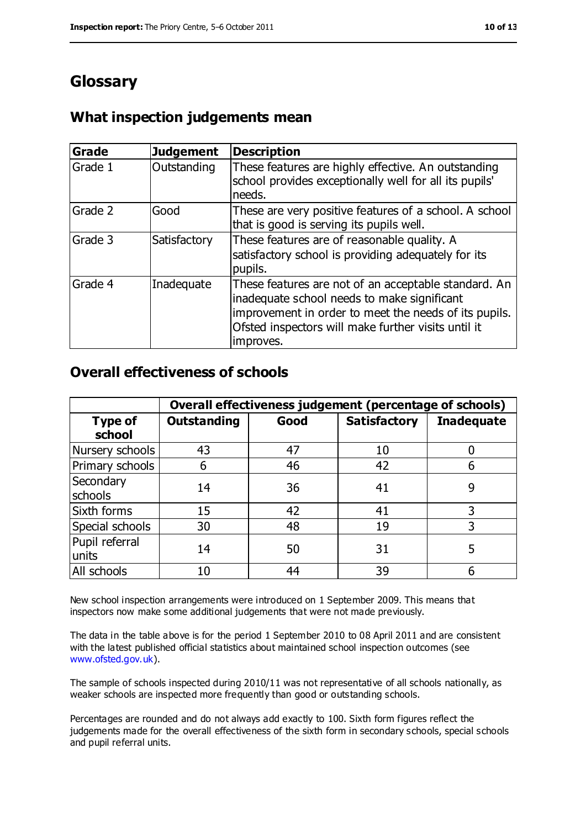## **Glossary**

#### **What inspection judgements mean**

| <b>Grade</b> | <b>Judgement</b> | <b>Description</b>                                                                                                                                                                                                               |
|--------------|------------------|----------------------------------------------------------------------------------------------------------------------------------------------------------------------------------------------------------------------------------|
| Grade 1      | Outstanding      | These features are highly effective. An outstanding<br>school provides exceptionally well for all its pupils'<br>needs.                                                                                                          |
| Grade 2      | Good             | These are very positive features of a school. A school<br>that is good is serving its pupils well.                                                                                                                               |
| Grade 3      | Satisfactory     | These features are of reasonable quality. A<br>satisfactory school is providing adequately for its<br>pupils.                                                                                                                    |
| Grade 4      | Inadequate       | These features are not of an acceptable standard. An<br>inadequate school needs to make significant<br>improvement in order to meet the needs of its pupils.<br>Ofsted inspectors will make further visits until it<br>improves. |

#### **Overall effectiveness of schools**

|                          | Overall effectiveness judgement (percentage of schools) |      |                     |                   |
|--------------------------|---------------------------------------------------------|------|---------------------|-------------------|
| <b>Type of</b><br>school | <b>Outstanding</b>                                      | Good | <b>Satisfactory</b> | <b>Inadequate</b> |
| Nursery schools          | 43                                                      | 47   | 10                  |                   |
| Primary schools          | 6                                                       | 46   | 42                  |                   |
| Secondary<br>schools     | 14                                                      | 36   | 41                  | 9                 |
| Sixth forms              | 15                                                      | 42   | 41                  | 3                 |
| Special schools          | 30                                                      | 48   | 19                  | 3                 |
| Pupil referral<br>units  | 14                                                      | 50   | 31                  |                   |
| All schools              | 10                                                      | 44   | 39                  |                   |

New school inspection arrangements were introduced on 1 September 2009. This means that inspectors now make some additional judgements that were not made previously.

The data in the table above is for the period 1 September 2010 to 08 April 2011 and are consistent with the latest published official statistics about maintained school inspection outcomes (see [www.ofsted.gov.uk\)](http://www.ofsted.gov.uk/).

The sample of schools inspected during 2010/11 was not representative of all schools nationally, as weaker schools are inspected more frequently than good or outstanding schools.

Percentages are rounded and do not always add exactly to 100. Sixth form figures reflect the judgements made for the overall effectiveness of the sixth form in secondary schools, special schools and pupil referral units.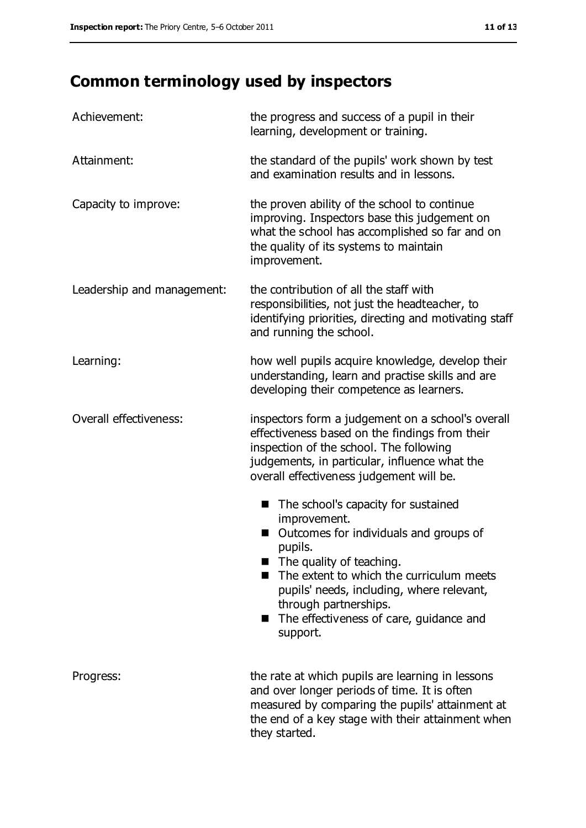# **Common terminology used by inspectors**

| Achievement:               | the progress and success of a pupil in their<br>learning, development or training.                                                                                                                                                                                                                                                |
|----------------------------|-----------------------------------------------------------------------------------------------------------------------------------------------------------------------------------------------------------------------------------------------------------------------------------------------------------------------------------|
| Attainment:                | the standard of the pupils' work shown by test<br>and examination results and in lessons.                                                                                                                                                                                                                                         |
| Capacity to improve:       | the proven ability of the school to continue<br>improving. Inspectors base this judgement on<br>what the school has accomplished so far and on<br>the quality of its systems to maintain<br>improvement.                                                                                                                          |
| Leadership and management: | the contribution of all the staff with<br>responsibilities, not just the headteacher, to<br>identifying priorities, directing and motivating staff<br>and running the school.                                                                                                                                                     |
| Learning:                  | how well pupils acquire knowledge, develop their<br>understanding, learn and practise skills and are<br>developing their competence as learners.                                                                                                                                                                                  |
| Overall effectiveness:     | inspectors form a judgement on a school's overall<br>effectiveness based on the findings from their<br>inspection of the school. The following<br>judgements, in particular, influence what the<br>overall effectiveness judgement will be.                                                                                       |
|                            | The school's capacity for sustained<br>■<br>improvement.<br>Outcomes for individuals and groups of<br>pupils.<br>$\blacksquare$ The quality of teaching.<br>The extent to which the curriculum meets<br>pupils' needs, including, where relevant,<br>through partnerships.<br>The effectiveness of care, guidance and<br>support. |
| Progress:                  | the rate at which pupils are learning in lessons<br>and over longer periods of time. It is often<br>measured by comparing the pupils' attainment at<br>the end of a key stage with their attainment when<br>they started.                                                                                                         |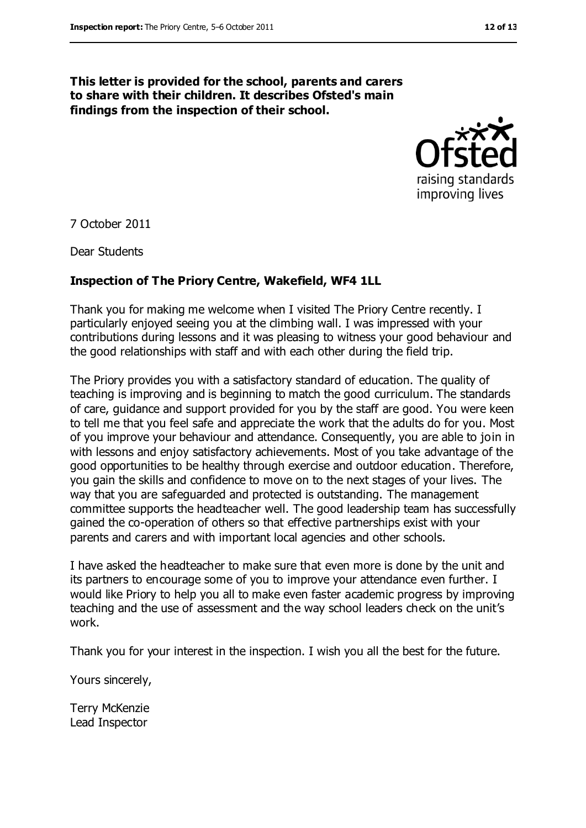#### **This letter is provided for the school, parents and carers to share with their children. It describes Ofsted's main findings from the inspection of their school.**



7 October 2011

Dear Students

#### **Inspection of The Priory Centre, Wakefield, WF4 1LL**

Thank you for making me welcome when I visited The Priory Centre recently. I particularly enjoyed seeing you at the climbing wall. I was impressed with your contributions during lessons and it was pleasing to witness your good behaviour and the good relationships with staff and with each other during the field trip.

The Priory provides you with a satisfactory standard of education. The quality of teaching is improving and is beginning to match the good curriculum. The standards of care, guidance and support provided for you by the staff are good. You were keen to tell me that you feel safe and appreciate the work that the adults do for you. Most of you improve your behaviour and attendance. Consequently, you are able to join in with lessons and enjoy satisfactory achievements. Most of you take advantage of the good opportunities to be healthy through exercise and outdoor education. Therefore, you gain the skills and confidence to move on to the next stages of your lives. The way that you are safeguarded and protected is outstanding. The management committee supports the headteacher well. The good leadership team has successfully gained the co-operation of others so that effective partnerships exist with your parents and carers and with important local agencies and other schools.

I have asked the headteacher to make sure that even more is done by the unit and its partners to encourage some of you to improve your attendance even further. I would like Priory to help you all to make even faster academic progress by improving teaching and the use of assessment and the way school leaders check on the unit's work.

Thank you for your interest in the inspection. I wish you all the best for the future.

Yours sincerely,

Terry McKenzie Lead Inspector